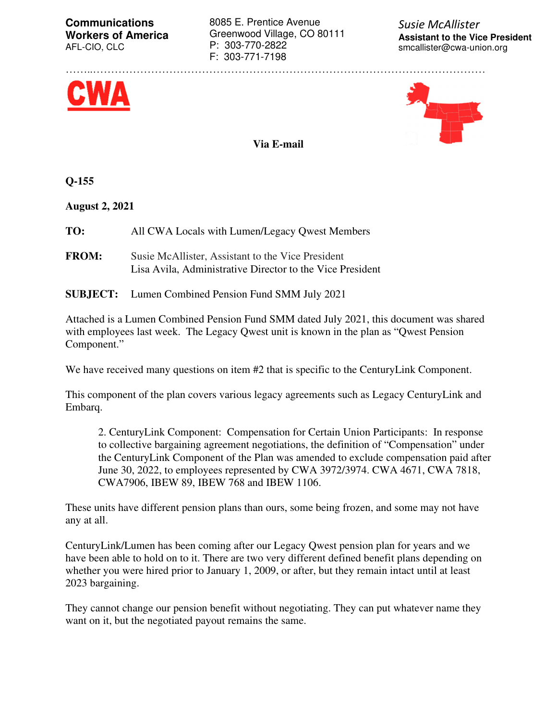**Communications Workers of America**  AFL-CIO, CLC

8085 E. Prentice Avenue Greenwood Village, CO 80111 P: 303-770-2822 F: 303-771-7198

……..………………………………………………………………………………………………

*Susie McAllister*  **Assistant to the Vice President** smcallister@cwa-union.org





**Via E-mail** 

**Q-155** 

**August 2, 2021** 

**TO:** All CWA Locals with Lumen/Legacy Qwest Members

- **FROM:** Susie McAllister, Assistant to the Vice President Lisa Avila, Administrative Director to the Vice President
- **SUBJECT:** Lumen Combined Pension Fund SMM July 2021

Attached is a Lumen Combined Pension Fund SMM dated July 2021, this document was shared with employees last week. The Legacy Qwest unit is known in the plan as "Qwest Pension Component."

We have received many questions on item #2 that is specific to the CenturyLink Component.

This component of the plan covers various legacy agreements such as Legacy CenturyLink and Embarq.

2. CenturyLink Component: Compensation for Certain Union Participants: In response to collective bargaining agreement negotiations, the definition of "Compensation" under the CenturyLink Component of the Plan was amended to exclude compensation paid after June 30, 2022, to employees represented by CWA 3972/3974. CWA 4671, CWA 7818, CWA7906, IBEW 89, IBEW 768 and IBEW 1106.

These units have different pension plans than ours, some being frozen, and some may not have any at all.

CenturyLink/Lumen has been coming after our Legacy Qwest pension plan for years and we have been able to hold on to it. There are two very different defined benefit plans depending on whether you were hired prior to January 1, 2009, or after, but they remain intact until at least 2023 bargaining.

They cannot change our pension benefit without negotiating. They can put whatever name they want on it, but the negotiated payout remains the same.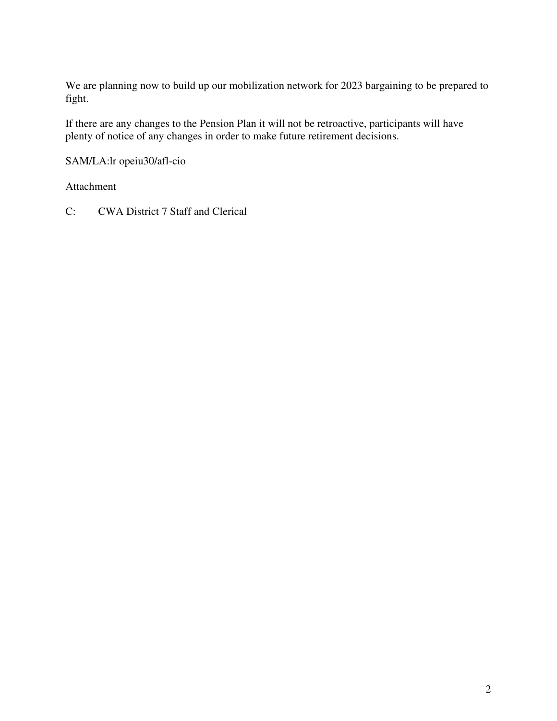We are planning now to build up our mobilization network for 2023 bargaining to be prepared to fight.

If there are any changes to the Pension Plan it will not be retroactive, participants will have plenty of notice of any changes in order to make future retirement decisions.

SAM/LA:lr opeiu30/afl-cio

Attachment

C: CWA District 7 Staff and Clerical